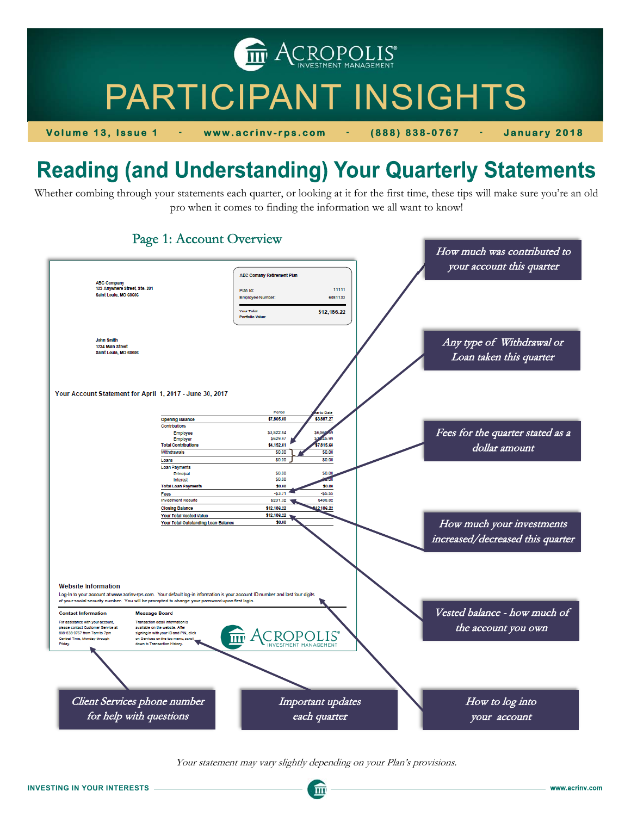**THE ACROPOLIS** 

# PARTICIPANT INSIGHTS

**Volume 13, Issue 1** - **www.acrinv-rps.com** - **(888) 838-0767** - **January 2018** 

# **Reading (and Understanding) Your Quarterly Statements**

Whether combing through your statements each quarter, or looking at it for the first time, these tips will make sure you're an old pro when it comes to finding the information we all want to know!



#### Your statement may vary slightly depending on your Plan's provisions.

 $\overline{\mathbf{m}}$